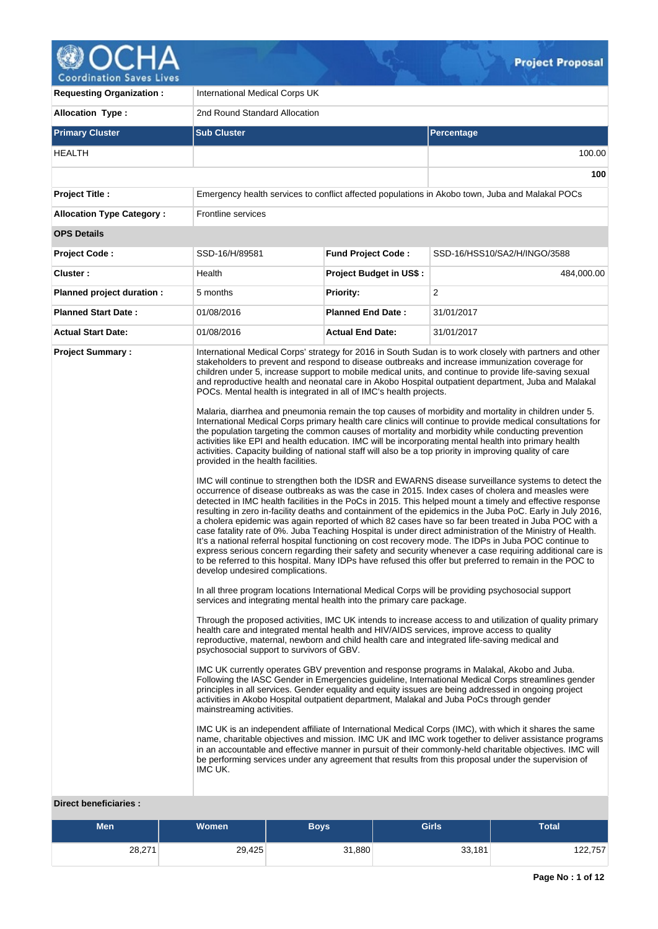

**100**

**Requesting Organization :** International Medical Corps UK **Allocation Type :** 2nd Round Standard Allocation **Primary Cluster Sub Cluster Sub Cluster** Sub Cluster Sub Cluster Sub Cluster Sub Cluster Sub Cluster Sub Cluster HEALTH 100.00 **Project Title :** Emergency health services to conflict affected populations in Akobo town, Juba and Malakal POCs **Allocation Type Category :** Frontline services **OPS Details Project Code :** SSD-16/H/89581 **Fund Project Code :** SSD-16/HSS10/SA2/H/INGO/3588 **Cluster :**  $\qquad \qquad$  Health **Project Budget in US\$ :** 484,000.00 **Planned project duration :** 5 months **Priority: Priority:** 2 **Planned Start Date :** 01/08/2016 **Planned End Date :** 31/01/2017 **Actual Start Date:** 01/08/2016 **Actual End Date:** 31/01/2017 **Project Summary :** International Medical Corps' strategy for 2016 in South Sudan is to work closely with partners and other stakeholders to prevent and respond to disease outbreaks and increase immunization coverage for children under 5, increase support to mobile medical units, and continue to provide life-saving sexual and reproductive health and neonatal care in Akobo Hospital outpatient department, Juba and Malakal POCs. Mental health is integrated in all of IMC's health projects. Malaria, diarrhea and pneumonia remain the top causes of morbidity and mortality in children under 5. International Medical Corps primary health care clinics will continue to provide medical consultations for the population targeting the common causes of mortality and morbidity while conducting prevention activities like EPI and health education. IMC will be incorporating mental health into primary health activities. Capacity building of national staff will also be a top priority in improving quality of care provided in the health facilities. IMC will continue to strengthen both the IDSR and EWARNS disease surveillance systems to detect the occurrence of disease outbreaks as was the case in 2015. Index cases of cholera and measles were detected in IMC health facilities in the PoCs in 2015. This helped mount a timely and effective response resulting in zero in-facility deaths and containment of the epidemics in the Juba PoC. Early in July 2016, a cholera epidemic was again reported of which 82 cases have so far been treated in Juba POC with a case fatality rate of 0%. Juba Teaching Hospital is under direct administration of the Ministry of Health. It's a national referral hospital functioning on cost recovery mode. The IDPs in Juba POC continue to express serious concern regarding their safety and security whenever a case requiring additional care is to be referred to this hospital. Many IDPs have refused this offer but preferred to remain in the POC to develop undesired complications.

In all three program locations International Medical Corps will be providing psychosocial support services and integrating mental health into the primary care package.

Through the proposed activities, IMC UK intends to increase access to and utilization of quality primary health care and integrated mental health and HIV/AIDS services, improve access to quality reproductive, maternal, newborn and child health care and integrated life-saving medical and psychosocial support to survivors of GBV.

IMC UK currently operates GBV prevention and response programs in Malakal, Akobo and Juba. Following the IASC Gender in Emergencies guideline, International Medical Corps streamlines gender principles in all services. Gender equality and equity issues are being addressed in ongoing project activities in Akobo Hospital outpatient department, Malakal and Juba PoCs through gender mainstreaming activities.

IMC UK is an independent affiliate of International Medical Corps (IMC), with which it shares the same name, charitable objectives and mission. IMC UK and IMC work together to deliver assistance programs in an accountable and effective manner in pursuit of their commonly-held charitable objectives. IMC will be performing services under any agreement that results from this proposal under the supervision of IMC UK.

### **Direct beneficiaries :**

| <b>Men</b> | <b>Women</b> | Boys   | <b>Girls</b> | Total   |
|------------|--------------|--------|--------------|---------|
| 28,271     | 29,425       | 31,880 | 33,181       | 122,757 |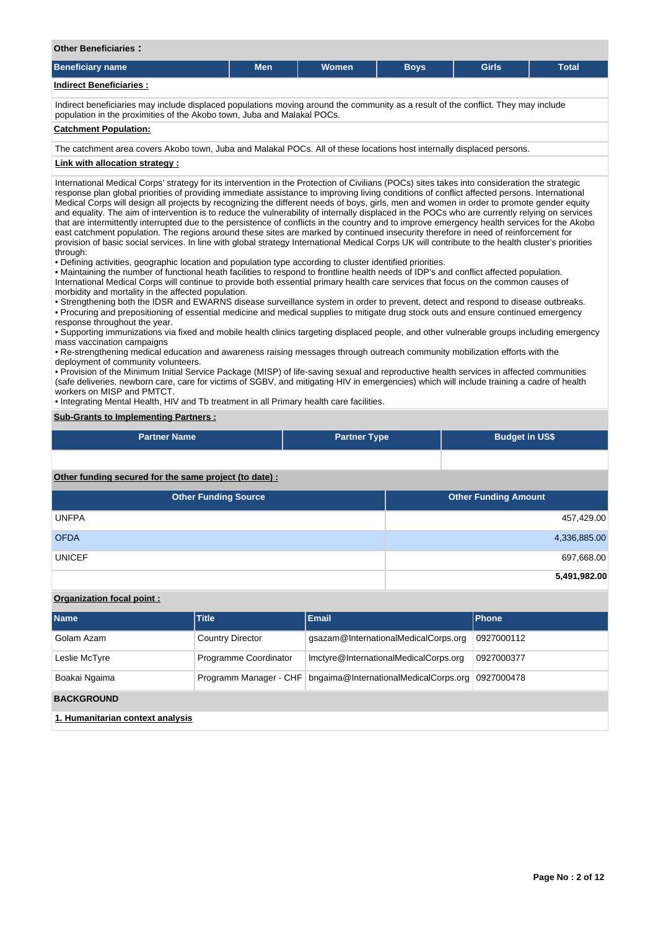| <b>Other Beneficiaries:</b> |  |
|-----------------------------|--|
|                             |  |

| Beneficiary name        | <b>Men</b> | <b>Women</b> | <b>Boys</b> | Girls | <b>Total</b> |  |
|-------------------------|------------|--------------|-------------|-------|--------------|--|
| Indirect Beneficiaries: |            |              |             |       |              |  |

Indirect beneficiaries may include displaced populations moving around the community as a result of the conflict. They may include population in the proximities of the Akobo town, Juba and Malakal POCs.

#### **Catchment Population:**

The catchment area covers Akobo town, Juba and Malakal POCs. All of these locations host internally displaced persons.

### **Link with allocation strategy :**

International Medical Corps' strategy for its intervention in the Protection of Civilians (POCs) sites takes into consideration the strategic response plan global priorities of providing immediate assistance to improving living conditions of conflict affected persons. International Medical Corps will design all projects by recognizing the different needs of boys, girls, men and women in order to promote gender equity and equality. The aim of intervention is to reduce the vulnerability of internally displaced in the POCs who are currently relying on services that are intermittently interrupted due to the persistence of conflicts in the country and to improve emergency health services for the Akobo east catchment population. The regions around these sites are marked by continued insecurity therefore in need of reinforcement for provision of basic social services. In line with global strategy International Medical Corps UK will contribute to the health cluster's priorities through:

• Defining activities, geographic location and population type according to cluster identified priorities.

• Maintaining the number of functional heath facilities to respond to frontline health needs of IDP's and conflict affected population. International Medical Corps will continue to provide both essential primary health care services that focus on the common causes of morbidity and mortality in the affected population.

• Strengthening both the IDSR and EWARNS disease surveillance system in order to prevent, detect and respond to disease outbreaks. • Procuring and prepositioning of essential medicine and medical supplies to mitigate drug stock outs and ensure continued emergency response throughout the year.

• Supporting immunizations via fixed and mobile health clinics targeting displaced people, and other vulnerable groups including emergency mass vaccination campaigns

• Re-strengthening medical education and awareness raising messages through outreach community mobilization efforts with the deployment of community volunteers.

• Provision of the Minimum Initial Service Package (MISP) of life-saving sexual and reproductive health services in affected communities (safe deliveries, newborn care, care for victims of SGBV, and mitigating HIV in emergencies) which will include training a cadre of health workers on MISP and PMTCT.

• Integrating Mental Health, HIV and Tb treatment in all Primary health care facilities.

## **Sub-Grants to Implementing Partners :**

| <b>Partner Name</b>                                   | <b>Partner Type</b> | <b>Budget in US\$</b> |
|-------------------------------------------------------|---------------------|-----------------------|
|                                                       |                     |                       |
| Other funding secured for the same project (to date): |                     |                       |

| <b>Other Funding Source</b> | Other Funding Amount |
|-----------------------------|----------------------|
| <b>UNFPA</b>                | 457,429.00           |
| <b>OFDA</b>                 | 4,336,885.00         |
| <b>UNICEF</b>               | 697,668.00           |
|                             | 5,491,982.00         |

### **Organization focal point :**

| <b>Name</b>                            | <b>Title</b>            | <b>Email</b>                          | <b>Phone</b> |
|----------------------------------------|-------------------------|---------------------------------------|--------------|
| Golam Azam                             | <b>Country Director</b> | gsazam@InternationalMedicalCorps.org  | 0927000112   |
| Leslie McTyre                          | Programme Coordinator   | Imctyre@InternationalMedicalCorps.org | 0927000377   |
| Boakai Ngaima                          | Programm Manager - CHF  | bngaima@InternationalMedicalCorps.org | 0927000478   |
| <b>BACKGROUND</b>                      |                         |                                       |              |
| di liberar dia dan asalan sang disabat |                         |                                       |              |

**1. Humanitarian context analysis**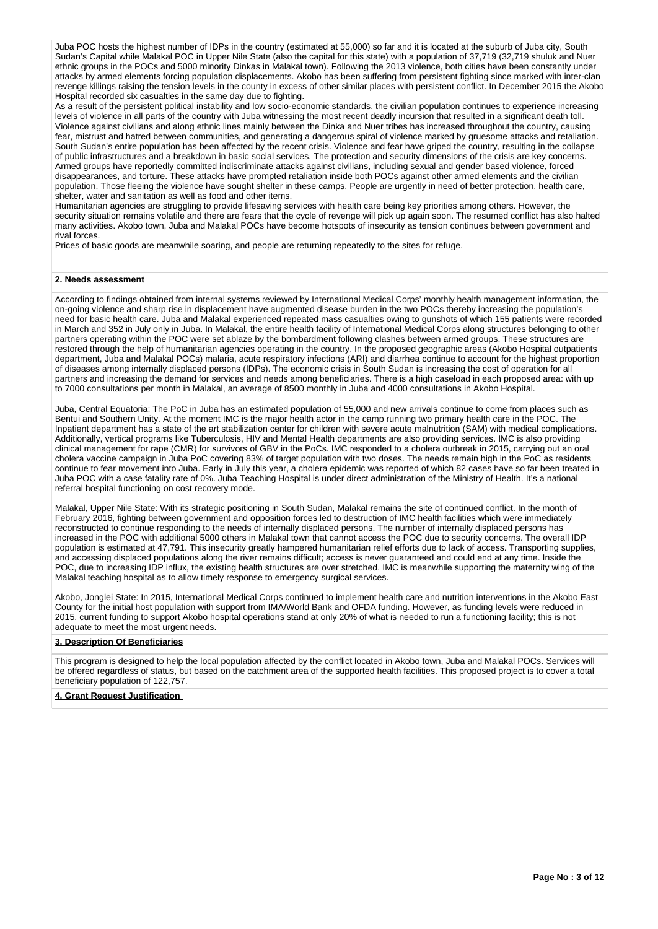Juba POC hosts the highest number of IDPs in the country (estimated at 55,000) so far and it is located at the suburb of Juba city, South Sudan's Capital while Malakal POC in Upper Nile State (also the capital for this state) with a population of 37,719 (32,719 shuluk and Nuer ethnic groups in the POCs and 5000 minority Dinkas in Malakal town). Following the 2013 violence, both cities have been constantly under attacks by armed elements forcing population displacements. Akobo has been suffering from persistent fighting since marked with inter-clan revenge killings raising the tension levels in the county in excess of other similar places with persistent conflict. In December 2015 the Akobo Hospital recorded six casualties in the same day due to fighting.

As a result of the persistent political instability and low socio-economic standards, the civilian population continues to experience increasing levels of violence in all parts of the country with Juba witnessing the most recent deadly incursion that resulted in a significant death toll. Violence against civilians and along ethnic lines mainly between the Dinka and Nuer tribes has increased throughout the country, causing fear, mistrust and hatred between communities, and generating a dangerous spiral of violence marked by gruesome attacks and retaliation. South Sudan's entire population has been affected by the recent crisis. Violence and fear have griped the country, resulting in the collapse of public infrastructures and a breakdown in basic social services. The protection and security dimensions of the crisis are key concerns. Armed groups have reportedly committed indiscriminate attacks against civilians, including sexual and gender based violence, forced disappearances, and torture. These attacks have prompted retaliation inside both POCs against other armed elements and the civilian population. Those fleeing the violence have sought shelter in these camps. People are urgently in need of better protection, health care, shelter, water and sanitation as well as food and other items.

Humanitarian agencies are struggling to provide lifesaving services with health care being key priorities among others. However, the security situation remains volatile and there are fears that the cycle of revenge will pick up again soon. The resumed conflict has also halted many activities. Akobo town, Juba and Malakal POCs have become hotspots of insecurity as tension continues between government and rival forces.

Prices of basic goods are meanwhile soaring, and people are returning repeatedly to the sites for refuge.

#### **2. Needs assessment**

According to findings obtained from internal systems reviewed by International Medical Corps' monthly health management information, the on-going violence and sharp rise in displacement have augmented disease burden in the two POCs thereby increasing the population's need for basic health care. Juba and Malakal experienced repeated mass casualties owing to gunshots of which 155 patients were recorded in March and 352 in July only in Juba. In Malakal, the entire health facility of International Medical Corps along structures belonging to other partners operating within the POC were set ablaze by the bombardment following clashes between armed groups. These structures are restored through the help of humanitarian agencies operating in the country. In the proposed geographic areas (Akobo Hospital outpatients department, Juba and Malakal POCs) malaria, acute respiratory infections (ARI) and diarrhea continue to account for the highest proportion of diseases among internally displaced persons (IDPs). The economic crisis in South Sudan is increasing the cost of operation for all partners and increasing the demand for services and needs among beneficiaries. There is a high caseload in each proposed area: with up to 7000 consultations per month in Malakal, an average of 8500 monthly in Juba and 4000 consultations in Akobo Hospital.

Juba, Central Equatoria: The PoC in Juba has an estimated population of 55,000 and new arrivals continue to come from places such as Bentui and Southern Unity. At the moment IMC is the major health actor in the camp running two primary health care in the POC. The Inpatient department has a state of the art stabilization center for children with severe acute malnutrition (SAM) with medical complications. Additionally, vertical programs like Tuberculosis, HIV and Mental Health departments are also providing services. IMC is also providing clinical management for rape (CMR) for survivors of GBV in the PoCs. IMC responded to a cholera outbreak in 2015, carrying out an oral cholera vaccine campaign in Juba PoC covering 83% of target population with two doses. The needs remain high in the PoC as residents continue to fear movement into Juba. Early in July this year, a cholera epidemic was reported of which 82 cases have so far been treated in Juba POC with a case fatality rate of 0%. Juba Teaching Hospital is under direct administration of the Ministry of Health. It's a national referral hospital functioning on cost recovery mode.

Malakal, Upper Nile State: With its strategic positioning in South Sudan, Malakal remains the site of continued conflict. In the month of February 2016, fighting between government and opposition forces led to destruction of IMC health facilities which were immediately reconstructed to continue responding to the needs of internally displaced persons. The number of internally displaced persons has increased in the POC with additional 5000 others in Malakal town that cannot access the POC due to security concerns. The overall IDP population is estimated at 47,791. This insecurity greatly hampered humanitarian relief efforts due to lack of access. Transporting supplies, and accessing displaced populations along the river remains difficult; access is never guaranteed and could end at any time. Inside the POC, due to increasing IDP influx, the existing health structures are over stretched. IMC is meanwhile supporting the maternity wing of the Malakal teaching hospital as to allow timely response to emergency surgical services.

Akobo, Jonglei State: In 2015, International Medical Corps continued to implement health care and nutrition interventions in the Akobo East County for the initial host population with support from IMA/World Bank and OFDA funding. However, as funding levels were reduced in 2015, current funding to support Akobo hospital operations stand at only 20% of what is needed to run a functioning facility; this is not adequate to meet the most urgent needs.

#### **3. Description Of Beneficiaries**

This program is designed to help the local population affected by the conflict located in Akobo town, Juba and Malakal POCs. Services will be offered regardless of status, but based on the catchment area of the supported health facilities. This proposed project is to cover a total beneficiary population of 122,757.

#### **4. Grant Request Justification**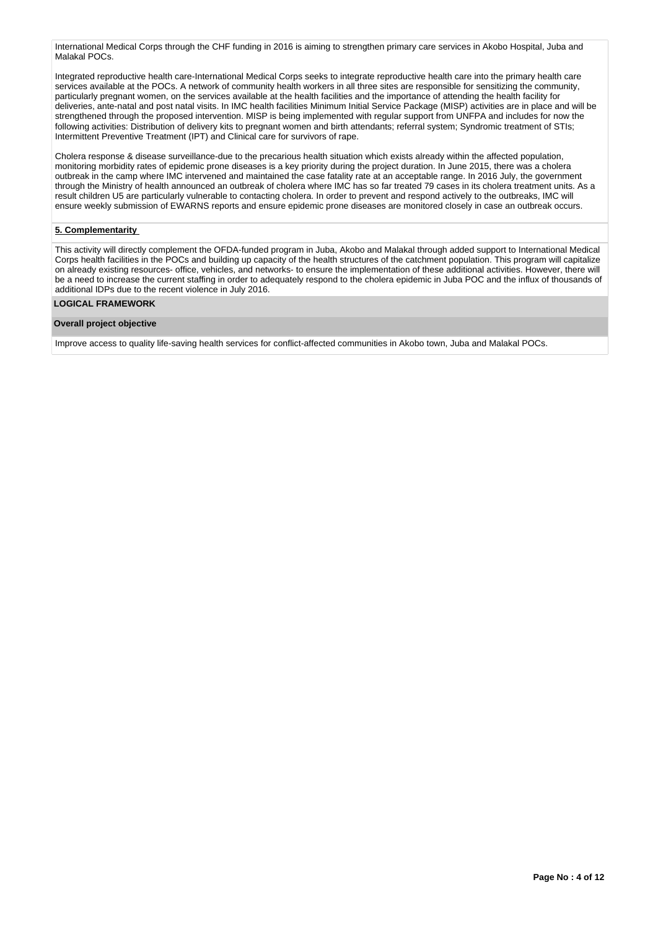International Medical Corps through the CHF funding in 2016 is aiming to strengthen primary care services in Akobo Hospital, Juba and Malakal POCs.

Integrated reproductive health care-International Medical Corps seeks to integrate reproductive health care into the primary health care services available at the POCs. A network of community health workers in all three sites are responsible for sensitizing the community, particularly pregnant women, on the services available at the health facilities and the importance of attending the health facility for deliveries, ante-natal and post natal visits. In IMC health facilities Minimum Initial Service Package (MISP) activities are in place and will be strengthened through the proposed intervention. MISP is being implemented with regular support from UNFPA and includes for now the following activities: Distribution of delivery kits to pregnant women and birth attendants; referral system; Syndromic treatment of STIs; Intermittent Preventive Treatment (IPT) and Clinical care for survivors of rape.

Cholera response & disease surveillance-due to the precarious health situation which exists already within the affected population, monitoring morbidity rates of epidemic prone diseases is a key priority during the project duration. In June 2015, there was a cholera outbreak in the camp where IMC intervened and maintained the case fatality rate at an acceptable range. In 2016 July, the government through the Ministry of health announced an outbreak of cholera where IMC has so far treated 79 cases in its cholera treatment units. As a result children U5 are particularly vulnerable to contacting cholera. In order to prevent and respond actively to the outbreaks, IMC will ensure weekly submission of EWARNS reports and ensure epidemic prone diseases are monitored closely in case an outbreak occurs.

## **5. Complementarity**

This activity will directly complement the OFDA-funded program in Juba, Akobo and Malakal through added support to International Medical Corps health facilities in the POCs and building up capacity of the health structures of the catchment population. This program will capitalize on already existing resources- office, vehicles, and networks- to ensure the implementation of these additional activities. However, there will be a need to increase the current staffing in order to adequately respond to the cholera epidemic in Juba POC and the influx of thousands of additional IDPs due to the recent violence in July 2016.

### **LOGICAL FRAMEWORK**

#### **Overall project objective**

Improve access to quality life-saving health services for conflict-affected communities in Akobo town, Juba and Malakal POCs.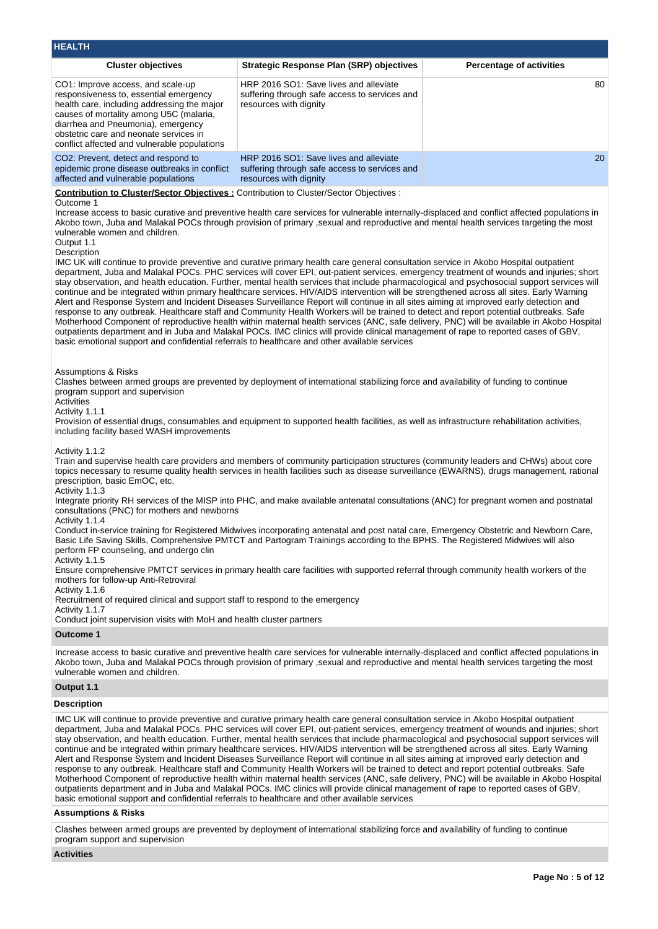| <b>HEALTH</b>                                                                                                                                                                                                                                                                                                                                                    |                                                                                                                                                                                                                                                                                                                                                                                                                                                                                                                                                                                                                                                                                                                                                                                                                                                                                                                                                                                                                                                                                                                                                                                                                                                                                                                                                                                                                                                |                                 |
|------------------------------------------------------------------------------------------------------------------------------------------------------------------------------------------------------------------------------------------------------------------------------------------------------------------------------------------------------------------|------------------------------------------------------------------------------------------------------------------------------------------------------------------------------------------------------------------------------------------------------------------------------------------------------------------------------------------------------------------------------------------------------------------------------------------------------------------------------------------------------------------------------------------------------------------------------------------------------------------------------------------------------------------------------------------------------------------------------------------------------------------------------------------------------------------------------------------------------------------------------------------------------------------------------------------------------------------------------------------------------------------------------------------------------------------------------------------------------------------------------------------------------------------------------------------------------------------------------------------------------------------------------------------------------------------------------------------------------------------------------------------------------------------------------------------------|---------------------------------|
| <b>Cluster objectives</b>                                                                                                                                                                                                                                                                                                                                        | <b>Strategic Response Plan (SRP) objectives</b>                                                                                                                                                                                                                                                                                                                                                                                                                                                                                                                                                                                                                                                                                                                                                                                                                                                                                                                                                                                                                                                                                                                                                                                                                                                                                                                                                                                                | <b>Percentage of activities</b> |
| CO1: Improve access, and scale-up<br>responsiveness to, essential emergency<br>health care, including addressing the major<br>causes of mortality among U5C (malaria,<br>diarrhea and Pneumonia), emergency<br>obstetric care and neonate services in<br>conflict affected and vulnerable populations                                                            | HRP 2016 SO1: Save lives and alleviate<br>suffering through safe access to services and<br>resources with dignity                                                                                                                                                                                                                                                                                                                                                                                                                                                                                                                                                                                                                                                                                                                                                                                                                                                                                                                                                                                                                                                                                                                                                                                                                                                                                                                              | 80                              |
| CO2: Prevent, detect and respond to<br>epidemic prone disease outbreaks in conflict<br>affected and vulnerable populations                                                                                                                                                                                                                                       | HRP 2016 SO1: Save lives and alleviate<br>suffering through safe access to services and<br>resources with dignity                                                                                                                                                                                                                                                                                                                                                                                                                                                                                                                                                                                                                                                                                                                                                                                                                                                                                                                                                                                                                                                                                                                                                                                                                                                                                                                              | 20                              |
| Contribution to Cluster/Sector Objectives : Contribution to Cluster/Sector Objectives :<br>Outcome 1<br>vulnerable women and children.<br>Output 1.1<br>Description<br>basic emotional support and confidential referrals to healthcare and other available services<br><b>Assumptions &amp; Risks</b>                                                           | Increase access to basic curative and preventive health care services for vulnerable internally-displaced and conflict affected populations in<br>Akobo town, Juba and Malakal POCs through provision of primary, sexual and reproductive and mental health services targeting the most<br>IMC UK will continue to provide preventive and curative primary health care general consultation service in Akobo Hospital outpatient<br>department, Juba and Malakal POCs. PHC services will cover EPI, out-patient services, emergency treatment of wounds and injuries; short<br>stay observation, and health education. Further, mental health services that include pharmacological and psychosocial support services will<br>continue and be integrated within primary healthcare services. HIV/AIDS intervention will be strengthened across all sites. Early Warning<br>Alert and Response System and Incident Diseases Surveillance Report will continue in all sites aiming at improved early detection and<br>response to any outbreak. Healthcare staff and Community Health Workers will be trained to detect and report potential outbreaks. Safe<br>Motherhood Component of reproductive health within maternal health services (ANC, safe delivery, PNC) will be available in Akobo Hospital<br>outpatients department and in Juba and Malakal POCs. IMC clinics will provide clinical management of rape to reported cases of GBV, |                                 |
| program support and supervision<br>Activities<br>Activity 1.1.1<br>including facility based WASH improvements                                                                                                                                                                                                                                                    | Clashes between armed groups are prevented by deployment of international stabilizing force and availability of funding to continue<br>Provision of essential drugs, consumables and equipment to supported health facilities, as well as infrastructure rehabilitation activities,                                                                                                                                                                                                                                                                                                                                                                                                                                                                                                                                                                                                                                                                                                                                                                                                                                                                                                                                                                                                                                                                                                                                                            |                                 |
| Activity 1.1.2<br>prescription, basic EmOC, etc.<br>Activity 1.1.3<br>consultations (PNC) for mothers and newborns<br>Activity 1.1.4<br>perform FP counseling, and undergo clin<br>Activity 1.1.5<br>mothers for follow-up Anti-Retroviral<br>Activity 1.1.6<br>Recruitment of required clinical and support staff to respond to the emergency<br>Activity 1.1.7 | Train and supervise health care providers and members of community participation structures (community leaders and CHWs) about core<br>topics necessary to resume quality health services in health facilities such as disease surveillance (EWARNS), drugs management, rational<br>Integrate priority RH services of the MISP into PHC, and make available antenatal consultations (ANC) for pregnant women and postnatal<br>Conduct in-service training for Registered Midwives incorporating antenatal and post natal care, Emergency Obstetric and Newborn Care,<br>Basic Life Saving Skills, Comprehensive PMTCT and Partogram Trainings according to the BPHS. The Registered Midwives will also<br>Ensure comprehensive PMTCT services in primary health care facilities with supported referral through community health workers of the                                                                                                                                                                                                                                                                                                                                                                                                                                                                                                                                                                                                |                                 |
| Conduct joint supervision visits with MoH and health cluster partners<br><b>Outcome 1</b>                                                                                                                                                                                                                                                                        |                                                                                                                                                                                                                                                                                                                                                                                                                                                                                                                                                                                                                                                                                                                                                                                                                                                                                                                                                                                                                                                                                                                                                                                                                                                                                                                                                                                                                                                |                                 |
| vulnerable women and children.                                                                                                                                                                                                                                                                                                                                   | Increase access to basic curative and preventive health care services for vulnerable internally-displaced and conflict affected populations in<br>Akobo town, Juba and Malakal POCs through provision of primary , sexual and reproductive and mental health services targeting the most                                                                                                                                                                                                                                                                                                                                                                                                                                                                                                                                                                                                                                                                                                                                                                                                                                                                                                                                                                                                                                                                                                                                                       |                                 |
| Output 1.1                                                                                                                                                                                                                                                                                                                                                       |                                                                                                                                                                                                                                                                                                                                                                                                                                                                                                                                                                                                                                                                                                                                                                                                                                                                                                                                                                                                                                                                                                                                                                                                                                                                                                                                                                                                                                                |                                 |
| <b>Description</b>                                                                                                                                                                                                                                                                                                                                               |                                                                                                                                                                                                                                                                                                                                                                                                                                                                                                                                                                                                                                                                                                                                                                                                                                                                                                                                                                                                                                                                                                                                                                                                                                                                                                                                                                                                                                                |                                 |
|                                                                                                                                                                                                                                                                                                                                                                  | IMC UK will continue to provide preventive and curative primary health care general consultation service in Akobo Hospital outpatient<br>department, Juba and Malakal POCs. PHC services will cover EPI, out-patient services, emergency treatment of wounds and injuries; short<br>stay observation, and health education. Further, mental health services that include pharmacological and psychosocial support services will<br>continue and be integrated within primary healthcare services. HIV/AIDS intervention will be strengthened across all sites. Early Warning<br>Alert and Response System and Incident Diseases Surveillance Report will continue in all sites aiming at improved early detection and<br>response to any outbreak. Healthcare staff and Community Health Workers will be trained to detect and report potential outbreaks. Safe<br>Motherhood Component of reproductive health within maternal health services (ANC, safe delivery, PNC) will be available in Akobo Hospital<br>outpatients department and in Juba and Malakal POCs. IMC clinics will provide clinical management of rape to reported cases of GBV,                                                                                                                                                                                                                                                                                            |                                 |

basic emotional support and confidential referrals to healthcare and other available services

# **Assumptions & Risks**

Clashes between armed groups are prevented by deployment of international stabilizing force and availability of funding to continue program support and supervision

# **Activities**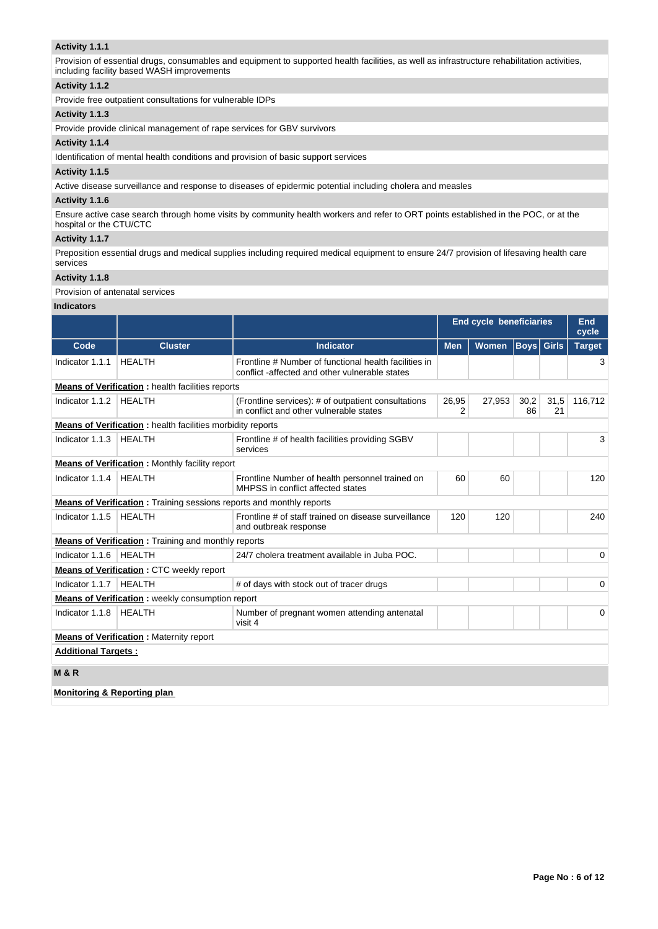## **Activity 1.1.1**

Provision of essential drugs, consumables and equipment to supported health facilities, as well as infrastructure rehabilitation activities, including facility based WASH improvements

### **Activity 1.1.2**

Provide free outpatient consultations for vulnerable IDPs

### **Activity 1.1.3**

Provide provide clinical management of rape services for GBV survivors

#### **Activity 1.1.4**

Identification of mental health conditions and provision of basic support services

### **Activity 1.1.5**

Active disease surveillance and response to diseases of epidermic potential including cholera and measles

### **Activity 1.1.6**

Ensure active case search through home visits by community health workers and refer to ORT points established in the POC, or at the hospital or the CTU/CTC

#### **Activity 1.1.7**

Preposition essential drugs and medical supplies including required medical equipment to ensure 24/7 provision of lifesaving health care services

# **Activity 1.1.8**

## Provision of antenatal services

#### **Indicators**

|                                                |                                                                                                       |                                                                                                         | <b>End cycle beneficiaries</b> |              |                   |            | End<br>cycle  |  |  |
|------------------------------------------------|-------------------------------------------------------------------------------------------------------|---------------------------------------------------------------------------------------------------------|--------------------------------|--------------|-------------------|------------|---------------|--|--|
| Code                                           | <b>Cluster</b>                                                                                        | <b>Indicator</b>                                                                                        | <b>Men</b>                     | <b>Women</b> | <b>Boys Girls</b> |            | <b>Target</b> |  |  |
| Indicator 1.1.1                                | <b>HEALTH</b>                                                                                         | Frontline # Number of functional health facilities in<br>conflict -affected and other vulnerable states |                                |              |                   |            | 3             |  |  |
|                                                | <b>Means of Verification : health facilities reports</b>                                              |                                                                                                         |                                |              |                   |            |               |  |  |
| Indicator 1.1.2                                | <b>HEALTH</b>                                                                                         | (Frontline services): # of outpatient consultations<br>in conflict and other vulnerable states          | 26,95<br>2                     | 27,953       | 30,2<br>86        | 31,5<br>21 | 116,712       |  |  |
|                                                | <b>Means of Verification:</b> health facilities morbidity reports                                     |                                                                                                         |                                |              |                   |            |               |  |  |
| Indicator 1.1.3                                | <b>HEALTH</b>                                                                                         | Frontline # of health facilities providing SGBV<br>services                                             |                                |              |                   |            | 3             |  |  |
|                                                | <b>Means of Verification:</b> Monthly facility report                                                 |                                                                                                         |                                |              |                   |            |               |  |  |
| Indicator 1.1.4                                | <b>HFAITH</b><br>Frontline Number of health personnel trained on<br>MHPSS in conflict affected states |                                                                                                         |                                | 60           |                   |            | 120           |  |  |
|                                                | <b>Means of Verification:</b> Training sessions reports and monthly reports                           |                                                                                                         |                                |              |                   |            |               |  |  |
| Indicator 1.1.5                                | <b>HEALTH</b>                                                                                         | Frontline # of staff trained on disease surveillance<br>and outbreak response                           | 120                            | 120          |                   |            | 240           |  |  |
|                                                | <b>Means of Verification:</b> Training and monthly reports                                            |                                                                                                         |                                |              |                   |            |               |  |  |
| Indicator 1.1.6                                | <b>HEALTH</b>                                                                                         | 24/7 cholera treatment available in Juba POC.                                                           |                                |              |                   |            | $\Omega$      |  |  |
|                                                | Means of Verification: CTC weekly report                                                              |                                                                                                         |                                |              |                   |            |               |  |  |
| Indicator 1.1.7                                | <b>HEALTH</b>                                                                                         | # of days with stock out of tracer drugs                                                                |                                |              |                   |            | 0             |  |  |
|                                                | <b>Means of Verification:</b> weekly consumption report                                               |                                                                                                         |                                |              |                   |            |               |  |  |
| Indicator 1.1.8                                | <b>HEALTH</b>                                                                                         | Number of pregnant women attending antenatal<br>visit 4                                                 |                                |              |                   |            | $\Omega$      |  |  |
| <b>Means of Verification:</b> Maternity report |                                                                                                       |                                                                                                         |                                |              |                   |            |               |  |  |
| <b>Additional Targets:</b>                     |                                                                                                       |                                                                                                         |                                |              |                   |            |               |  |  |
| <b>M&amp;R</b>                                 |                                                                                                       |                                                                                                         |                                |              |                   |            |               |  |  |
| <b>Monitoring &amp; Reporting plan</b>         |                                                                                                       |                                                                                                         |                                |              |                   |            |               |  |  |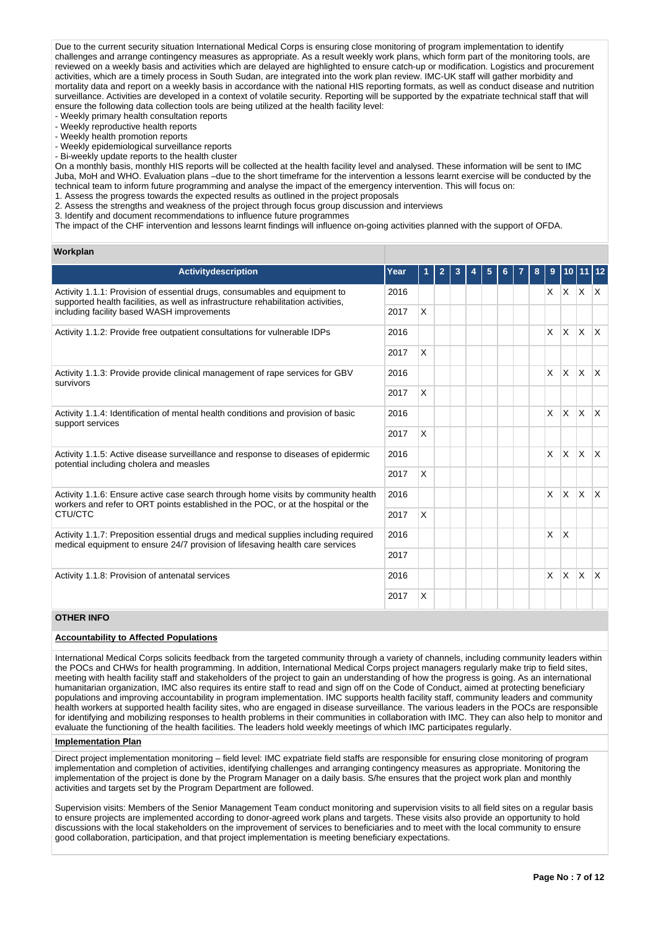Due to the current security situation International Medical Corps is ensuring close monitoring of program implementation to identify challenges and arrange contingency measures as appropriate. As a result weekly work plans, which form part of the monitoring tools, are reviewed on a weekly basis and activities which are delayed are highlighted to ensure catch-up or modification. Logistics and procurement activities, which are a timely process in South Sudan, are integrated into the work plan review. IMC-UK staff will gather morbidity and mortality data and report on a weekly basis in accordance with the national HIS reporting formats, as well as conduct disease and nutrition surveillance. Activities are developed in a context of volatile security. Reporting will be supported by the expatriate technical staff that will ensure the following data collection tools are being utilized at the health facility level:

- Weekly primary health consultation reports

- Weekly reproductive health reports

- Weekly health promotion reports

- Weekly epidemiological surveillance reports

- Bi-weekly update reports to the health cluster

On a monthly basis, monthly HIS reports will be collected at the health facility level and analysed. These information will be sent to IMC Juba, MoH and WHO. Evaluation plans –due to the short timeframe for the intervention a lessons learnt exercise will be conducted by the technical team to inform future programming and analyse the impact of the emergency intervention. This will focus on: 1. Assess the progress towards the expected results as outlined in the project proposals

2. Assess the strengths and weakness of the project through focus group discussion and interviews

3. Identify and document recommendations to influence future programmes

The impact of the CHF intervention and lessons learnt findings will influence on-going activities planned with the support of OFDA.

#### **Workplan**

| <b>Activitydescription</b>                                                                                                                                             | Year |              |  | 5 |  | 8 | 9            | 10 11        |                 |              |
|------------------------------------------------------------------------------------------------------------------------------------------------------------------------|------|--------------|--|---|--|---|--------------|--------------|-----------------|--------------|
| Activity 1.1.1: Provision of essential drugs, consumables and equipment to                                                                                             | 2016 |              |  |   |  |   |              |              | $X$ $X$ $X$ $X$ |              |
| supported health facilities, as well as infrastructure rehabilitation activities,<br>including facility based WASH improvements                                        |      | $\mathsf{x}$ |  |   |  |   |              |              |                 |              |
| Activity 1.1.2: Provide free outpatient consultations for vulnerable IDPs                                                                                              |      |              |  |   |  |   | $\times$     | <b>X</b>     | <b>X</b>        | $\mathsf{X}$ |
|                                                                                                                                                                        | 2017 | X            |  |   |  |   |              |              |                 |              |
| Activity 1.1.3: Provide provide clinical management of rape services for GBV<br>survivors                                                                              | 2016 |              |  |   |  |   | X            | $\times$     | <b>X</b>        | $\mathsf{X}$ |
|                                                                                                                                                                        | 2017 | X            |  |   |  |   |              |              |                 |              |
| Activity 1.1.4: Identification of mental health conditions and provision of basic<br>support services                                                                  | 2016 |              |  |   |  |   | $\times$     | <b>X</b>     | $x \mid x$      |              |
|                                                                                                                                                                        | 2017 | <b>X</b>     |  |   |  |   |              |              |                 |              |
| Activity 1.1.5: Active disease surveillance and response to diseases of epidermic<br>potential including cholera and measles                                           |      |              |  |   |  |   | $\mathsf{x}$ | <b>X</b>     | $\mathsf{X}$    | $\mathsf{X}$ |
|                                                                                                                                                                        | 2017 | X            |  |   |  |   |              |              |                 |              |
| Activity 1.1.6: Ensure active case search through home visits by community health<br>workers and refer to ORT points established in the POC, or at the hospital or the | 2016 |              |  |   |  |   | X            | $\times$     | <b>X</b>        | $\mathsf{X}$ |
| CTU/CTC                                                                                                                                                                | 2017 | X            |  |   |  |   |              |              |                 |              |
| Activity 1.1.7: Preposition essential drugs and medical supplies including required<br>medical equipment to ensure 24/7 provision of lifesaving health care services   | 2016 |              |  |   |  |   | $\mathsf{x}$ | X            |                 |              |
|                                                                                                                                                                        | 2017 |              |  |   |  |   |              |              |                 |              |
| Activity 1.1.8: Provision of antenatal services                                                                                                                        | 2016 |              |  |   |  |   | $\times$     | $\mathsf{X}$ | $\mathsf{X}$    | $\mathsf{X}$ |
|                                                                                                                                                                        | 2017 | X            |  |   |  |   |              |              |                 |              |

### **OTHER INFO**

## **Accountability to Affected Populations**

International Medical Corps solicits feedback from the targeted community through a variety of channels, including community leaders within the POCs and CHWs for health programming. In addition, International Medical Corps project managers regularly make trip to field sites, meeting with health facility staff and stakeholders of the project to gain an understanding of how the progress is going. As an international humanitarian organization, IMC also requires its entire staff to read and sign off on the Code of Conduct, aimed at protecting beneficiary populations and improving accountability in program implementation. IMC supports health facility staff, community leaders and community health workers at supported health facility sites, who are engaged in disease surveillance. The various leaders in the POCs are responsible for identifying and mobilizing responses to health problems in their communities in collaboration with IMC. They can also help to monitor and evaluate the functioning of the health facilities. The leaders hold weekly meetings of which IMC participates regularly.

#### **Implementation Plan**

Direct project implementation monitoring – field level: IMC expatriate field staffs are responsible for ensuring close monitoring of program implementation and completion of activities, identifying challenges and arranging contingency measures as appropriate. Monitoring the implementation of the project is done by the Program Manager on a daily basis. S/he ensures that the project work plan and monthly activities and targets set by the Program Department are followed.

Supervision visits: Members of the Senior Management Team conduct monitoring and supervision visits to all field sites on a regular basis to ensure projects are implemented according to donor-agreed work plans and targets. These visits also provide an opportunity to hold discussions with the local stakeholders on the improvement of services to beneficiaries and to meet with the local community to ensure good collaboration, participation, and that project implementation is meeting beneficiary expectations.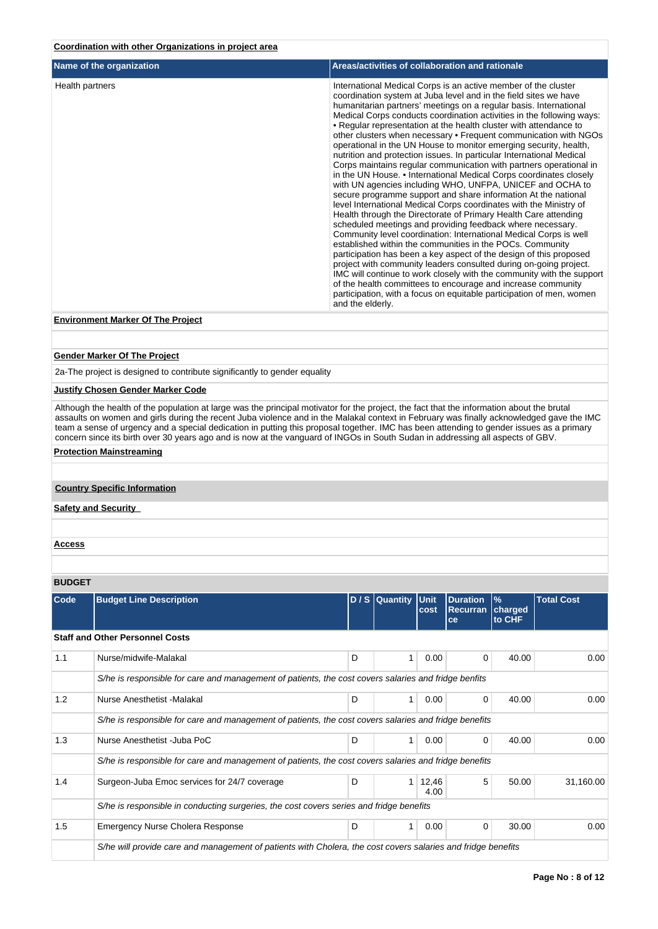## **Coordination with other Organizations in project area**

| Name of the organization | Areas/activities of collaboration and rationale                                                                                                                                                                                                                                                                                                                                                                                                                                                                                                                                                                                                                                                                                                                                                                                                                                                                                                                                                                                                                                                                                                                                                                                                                                                                                                                                                                                                                                                                                                        |
|--------------------------|--------------------------------------------------------------------------------------------------------------------------------------------------------------------------------------------------------------------------------------------------------------------------------------------------------------------------------------------------------------------------------------------------------------------------------------------------------------------------------------------------------------------------------------------------------------------------------------------------------------------------------------------------------------------------------------------------------------------------------------------------------------------------------------------------------------------------------------------------------------------------------------------------------------------------------------------------------------------------------------------------------------------------------------------------------------------------------------------------------------------------------------------------------------------------------------------------------------------------------------------------------------------------------------------------------------------------------------------------------------------------------------------------------------------------------------------------------------------------------------------------------------------------------------------------------|
| Health partners          | International Medical Corps is an active member of the cluster<br>coordination system at Juba level and in the field sites we have<br>humanitarian partners' meetings on a regular basis. International<br>Medical Corps conducts coordination activities in the following ways:<br>• Regular representation at the health cluster with attendance to<br>other clusters when necessary • Frequent communication with NGOs<br>operational in the UN House to monitor emerging security, health,<br>nutrition and protection issues. In particular International Medical<br>Corps maintains regular communication with partners operational in<br>in the UN House. • International Medical Corps coordinates closely<br>with UN agencies including WHO, UNFPA, UNICEF and OCHA to<br>secure programme support and share information At the national<br>level International Medical Corps coordinates with the Ministry of<br>Health through the Directorate of Primary Health Care attending<br>scheduled meetings and providing feedback where necessary.<br>Community level coordination: International Medical Corps is well<br>established within the communities in the POCs. Community<br>participation has been a key aspect of the design of this proposed<br>project with community leaders consulted during on-going project.<br>IMC will continue to work closely with the community with the support<br>of the health committees to encourage and increase community<br>participation, with a focus on equitable participation of men, women |
|                          | and the elderly.                                                                                                                                                                                                                                                                                                                                                                                                                                                                                                                                                                                                                                                                                                                                                                                                                                                                                                                                                                                                                                                                                                                                                                                                                                                                                                                                                                                                                                                                                                                                       |

# **Environment Marker Of The Project**

### **Gender Marker Of The Project**

2a-The project is designed to contribute significantly to gender equality

#### **Justify Chosen Gender Marker Code**

Although the health of the population at large was the principal motivator for the project, the fact that the information about the brutal assaults on women and girls during the recent Juba violence and in the Malakal context in February was finally acknowledged gave the IMC team a sense of urgency and a special dedication in putting this proposal together. IMC has been attending to gender issues as a primary concern since its birth over 30 years ago and is now at the vanguard of INGOs in South Sudan in addressing all aspects of GBV.

### **Protection Mainstreaming**

## **Country Specific Information**

## **Safety and Security**

**Access**

#### **BUDGET**

| <b>Code</b> | <b>Budget Line Description</b>                                                                               |   | $D/S$ Quantity | <b>Unit</b><br>cost | <b>Duration</b><br><b>Recurran</b><br>ce | $\%$<br>charged<br>to CHF | <b>Total Cost</b> |  |  |  |  |
|-------------|--------------------------------------------------------------------------------------------------------------|---|----------------|---------------------|------------------------------------------|---------------------------|-------------------|--|--|--|--|
|             | <b>Staff and Other Personnel Costs</b>                                                                       |   |                |                     |                                          |                           |                   |  |  |  |  |
| 1.1         | Nurse/midwife-Malakal                                                                                        | D |                | 0.00                | 0                                        | 40.00                     | 0.00              |  |  |  |  |
|             | S/he is responsible for care and management of patients, the cost covers salaries and fridge benfits         |   |                |                     |                                          |                           |                   |  |  |  |  |
| 1.2         | Nurse Anesthetist - Malakal                                                                                  | D | 1              | 0.00                | $\Omega$                                 | 40.00                     | 0.00              |  |  |  |  |
|             | S/he is responsible for care and management of patients, the cost covers salaries and fridge benefits        |   |                |                     |                                          |                           |                   |  |  |  |  |
| 1.3         | Nurse Anesthetist - Juba PoC                                                                                 | D |                | 0.00                | 0                                        | 40.00                     | 0.00              |  |  |  |  |
|             | S/he is responsible for care and management of patients, the cost covers salaries and fridge benefits        |   |                |                     |                                          |                           |                   |  |  |  |  |
| 1.4         | Surgeon-Juba Emoc services for 24/7 coverage                                                                 | D |                | 12,46<br>4.00       | 5                                        | 50.00                     | 31,160.00         |  |  |  |  |
|             | S/he is responsible in conducting surgeries, the cost covers series and fridge benefits                      |   |                |                     |                                          |                           |                   |  |  |  |  |
| 1.5         | <b>Emergency Nurse Cholera Response</b>                                                                      | D | 1              | 0.00                | $\Omega$                                 | 30.00                     | 0.00              |  |  |  |  |
|             | S/he will provide care and management of patients with Cholera, the cost covers salaries and fridge benefits |   |                |                     |                                          |                           |                   |  |  |  |  |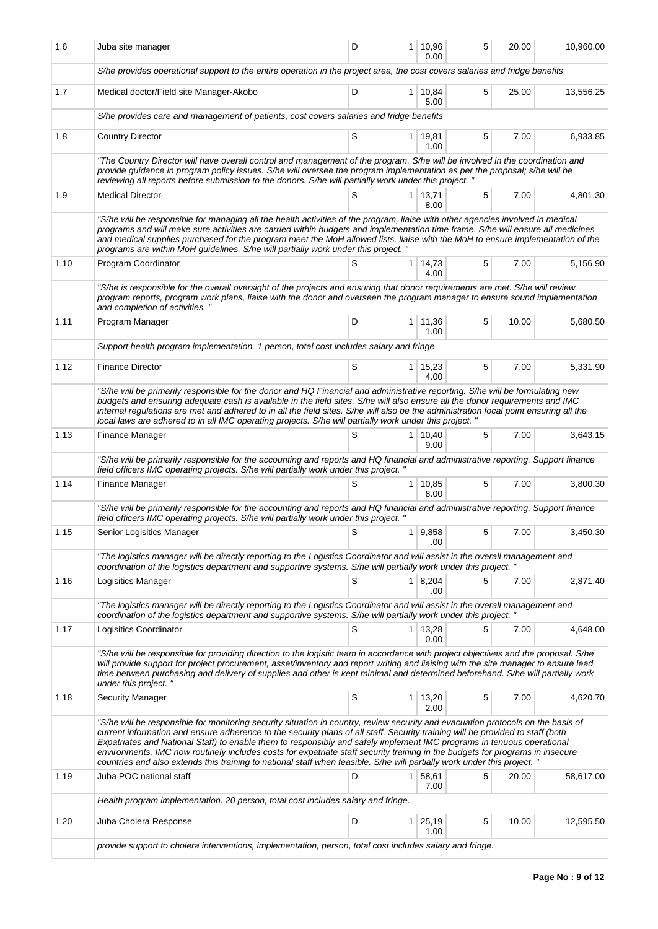| 1.6  | Juba site manager                                                                                                                                                                                                                                                                                                                                                                                                                                                                                                                                                                                                                                         | D |                | $1 \mid 10,96$<br>0.00 | 5 | 20.00 | 10,960.00 |  |  |  |  |
|------|-----------------------------------------------------------------------------------------------------------------------------------------------------------------------------------------------------------------------------------------------------------------------------------------------------------------------------------------------------------------------------------------------------------------------------------------------------------------------------------------------------------------------------------------------------------------------------------------------------------------------------------------------------------|---|----------------|------------------------|---|-------|-----------|--|--|--|--|
|      | S/he provides operational support to the entire operation in the project area, the cost covers salaries and fridge benefits                                                                                                                                                                                                                                                                                                                                                                                                                                                                                                                               |   |                |                        |   |       |           |  |  |  |  |
| 1.7  | Medical doctor/Field site Manager-Akobo                                                                                                                                                                                                                                                                                                                                                                                                                                                                                                                                                                                                                   | D |                | $1 \mid 10,84$<br>5.00 | 5 | 25.00 | 13,556.25 |  |  |  |  |
|      | S/he provides care and management of patients, cost covers salaries and fridge benefits                                                                                                                                                                                                                                                                                                                                                                                                                                                                                                                                                                   |   |                |                        |   |       |           |  |  |  |  |
| 1.8  | <b>Country Director</b>                                                                                                                                                                                                                                                                                                                                                                                                                                                                                                                                                                                                                                   | S |                | 1 19,81<br>1.00        | 5 | 7.00  | 6,933.85  |  |  |  |  |
|      | "The Country Director will have overall control and management of the program. S/he will be involved in the coordination and<br>provide guidance in program policy issues. S/he will oversee the program implementation as per the proposal; s/he will be<br>reviewing all reports before submission to the donors. S/he will partially work under this project. "                                                                                                                                                                                                                                                                                        |   |                |                        |   |       |           |  |  |  |  |
| 1.9  | <b>Medical Director</b>                                                                                                                                                                                                                                                                                                                                                                                                                                                                                                                                                                                                                                   | S |                | $1 \mid 13,71$<br>8.00 | 5 | 7.00  | 4,801.30  |  |  |  |  |
|      | "S/he will be responsible for managing all the health activities of the program, liaise with other agencies involved in medical<br>programs and will make sure activities are carried within budgets and implementation time frame. S/he will ensure all medicines<br>and medical supplies purchased for the program meet the MoH allowed lists, liaise with the MoH to ensure implementation of the<br>programs are within MoH guidelines. S/he will partially work under this project."                                                                                                                                                                 |   |                |                        |   |       |           |  |  |  |  |
| 1.10 | Program Coordinator                                                                                                                                                                                                                                                                                                                                                                                                                                                                                                                                                                                                                                       | S | 1 <sup>1</sup> | 14,73<br>4.00          | 5 | 7.00  | 5,156.90  |  |  |  |  |
|      | "S/he is responsible for the overall oversight of the projects and ensuring that donor requirements are met. S/he will review<br>program reports, program work plans, liaise with the donor and overseen the program manager to ensure sound implementation<br>and completion of activities. "                                                                                                                                                                                                                                                                                                                                                            |   |                |                        |   |       |           |  |  |  |  |
| 1.11 | Program Manager                                                                                                                                                                                                                                                                                                                                                                                                                                                                                                                                                                                                                                           | D |                | 1 11,36<br>1.00        | 5 | 10.00 | 5,680.50  |  |  |  |  |
|      | Support health program implementation. 1 person, total cost includes salary and fringe                                                                                                                                                                                                                                                                                                                                                                                                                                                                                                                                                                    |   |                |                        |   |       |           |  |  |  |  |
| 1.12 | <b>Finance Director</b>                                                                                                                                                                                                                                                                                                                                                                                                                                                                                                                                                                                                                                   | S | $\mathbf{1}$   | 15,23<br>4.00          | 5 | 7.00  | 5,331.90  |  |  |  |  |
|      | "S/he will be primarily responsible for the donor and HQ Financial and administrative reporting. S/he will be formulating new<br>budgets and ensuring adequate cash is available in the field sites. S/he will also ensure all the donor requirements and IMC<br>internal regulations are met and adhered to in all the field sites. S/he will also be the administration focal point ensuring all the<br>local laws are adhered to in all IMC operating projects. S/he will partially work under this project. "                                                                                                                                         |   |                |                        |   |       |           |  |  |  |  |
| 1.13 | Finance Manager                                                                                                                                                                                                                                                                                                                                                                                                                                                                                                                                                                                                                                           | S | 1              | 10,40<br>9.00          | 5 | 7.00  | 3,643.15  |  |  |  |  |
|      | "S/he will be primarily responsible for the accounting and reports and HQ financial and administrative reporting. Support finance<br>field officers IMC operating projects. S/he will partially work under this project."                                                                                                                                                                                                                                                                                                                                                                                                                                 |   |                |                        |   |       |           |  |  |  |  |
| 1.14 | Finance Manager                                                                                                                                                                                                                                                                                                                                                                                                                                                                                                                                                                                                                                           | S |                | $1 \mid 10,85$<br>8.00 | 5 | 7.00  | 3,800.30  |  |  |  |  |
|      | "S/he will be primarily responsible for the accounting and reports and HQ financial and administrative reporting. Support finance<br>field officers IMC operating projects. S/he will partially work under this project. "                                                                                                                                                                                                                                                                                                                                                                                                                                |   |                |                        |   |       |           |  |  |  |  |
| 1.15 | Senior Logisitics Manager                                                                                                                                                                                                                                                                                                                                                                                                                                                                                                                                                                                                                                 | S |                | 1   9,858<br>.00       | 5 | 7.00  | 3,450.30  |  |  |  |  |
|      | "The logistics manager will be directly reporting to the Logistics Coordinator and will assist in the overall management and<br>coordination of the logistics department and supportive systems. S/he will partially work under this project. "                                                                                                                                                                                                                                                                                                                                                                                                           |   |                |                        |   |       |           |  |  |  |  |
| 1.16 | Logisitics Manager                                                                                                                                                                                                                                                                                                                                                                                                                                                                                                                                                                                                                                        | S | 1              | 8,204<br>.00           | 5 | 7.00  | 2,871.40  |  |  |  |  |
|      | "The logistics manager will be directly reporting to the Logistics Coordinator and will assist in the overall management and<br>coordination of the logistics department and supportive systems. S/he will partially work under this project. "                                                                                                                                                                                                                                                                                                                                                                                                           |   |                |                        |   |       |           |  |  |  |  |
| 1.17 | Logisitics Coordinator                                                                                                                                                                                                                                                                                                                                                                                                                                                                                                                                                                                                                                    | S |                | $1 \mid 13,28$<br>0.00 | 5 | 7.00  | 4,648.00  |  |  |  |  |
|      | "S/he will be responsible for providing direction to the logistic team in accordance with project objectives and the proposal. S/he<br>will provide support for project procurement, asset/inventory and report writing and liaising with the site manager to ensure lead<br>time between purchasing and delivery of supplies and other is kept minimal and determined beforehand. S/he will partially work<br>under this project."                                                                                                                                                                                                                       |   |                |                        |   |       |           |  |  |  |  |
| 1.18 | <b>Security Manager</b>                                                                                                                                                                                                                                                                                                                                                                                                                                                                                                                                                                                                                                   | S | 1              | 13,20<br>2.00          | 5 | 7.00  | 4,620.70  |  |  |  |  |
|      | "S/he will be responsible for monitoring security situation in country, review security and evacuation protocols on the basis of<br>current information and ensure adherence to the security plans of all staff. Security training will be provided to staff (both<br>Expatriates and National Staff) to enable them to responsibly and safely implement IMC programs in tenuous operational<br>environments. IMC now routinely includes costs for expatriate staff security training in the budgets for programs in insecure<br>countries and also extends this training to national staff when feasible. S/he will partially work under this project. " |   |                |                        |   |       |           |  |  |  |  |
| 1.19 | Juba POC national staff                                                                                                                                                                                                                                                                                                                                                                                                                                                                                                                                                                                                                                   | D | 1              | 58,61<br>7.00          | 5 | 20.00 | 58,617.00 |  |  |  |  |
|      | Health program implementation. 20 person, total cost includes salary and fringe.                                                                                                                                                                                                                                                                                                                                                                                                                                                                                                                                                                          |   |                |                        |   |       |           |  |  |  |  |
| 1.20 | Juba Cholera Response                                                                                                                                                                                                                                                                                                                                                                                                                                                                                                                                                                                                                                     | D | 1 <sup>1</sup> | 25,19<br>1.00          | 5 | 10.00 | 12,595.50 |  |  |  |  |
|      | provide support to cholera interventions, implementation, person, total cost includes salary and fringe.                                                                                                                                                                                                                                                                                                                                                                                                                                                                                                                                                  |   |                |                        |   |       |           |  |  |  |  |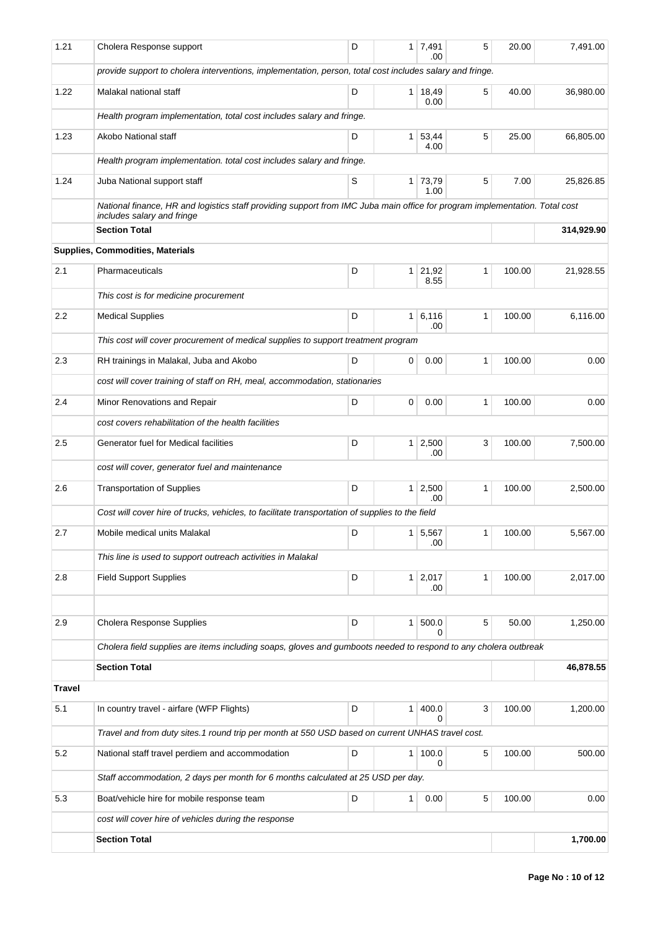| 1.21          | Cholera Response support                                                                                                                                  | D |   | 1 7,491<br>.00         | 5 | 20.00  | 7,491.00   |
|---------------|-----------------------------------------------------------------------------------------------------------------------------------------------------------|---|---|------------------------|---|--------|------------|
|               | provide support to cholera interventions, implementation, person, total cost includes salary and fringe.                                                  |   |   |                        |   |        |            |
| 1.22          | Malakal national staff                                                                                                                                    | D |   | $1 \mid 18,49$<br>0.00 | 5 | 40.00  | 36,980.00  |
|               | Health program implementation, total cost includes salary and fringe.                                                                                     |   |   |                        |   |        |            |
| 1.23          | Akobo National staff                                                                                                                                      | D |   | 1 53,44<br>4.00        | 5 | 25.00  | 66,805.00  |
|               | Health program implementation. total cost includes salary and fringe.                                                                                     |   |   |                        |   |        |            |
| 1.24          | Juba National support staff                                                                                                                               | S |   | 1 73,79<br>1.00        | 5 | 7.00   | 25,826.85  |
|               | National finance, HR and logistics staff providing support from IMC Juba main office for program implementation. Total cost<br>includes salary and fringe |   |   |                        |   |        |            |
|               | <b>Section Total</b>                                                                                                                                      |   |   |                        |   |        | 314,929.90 |
|               | Supplies, Commodities, Materials                                                                                                                          |   |   |                        |   |        |            |
| 2.1           | Pharmaceuticals                                                                                                                                           | D |   | $1 \mid 21,92$<br>8.55 | 1 | 100.00 | 21,928.55  |
|               | This cost is for medicine procurement                                                                                                                     |   |   |                        |   |        |            |
| 2.2           | <b>Medical Supplies</b>                                                                                                                                   | D |   | 1 6,116<br>.00         | 1 | 100.00 | 6,116.00   |
|               | This cost will cover procurement of medical supplies to support treatment program                                                                         |   |   |                        |   |        |            |
| 2.3           | RH trainings in Malakal, Juba and Akobo                                                                                                                   | D | 0 | 0.00                   | 1 | 100.00 | 0.00       |
|               | cost will cover training of staff on RH, meal, accommodation, stationaries                                                                                |   |   |                        |   |        |            |
| 2.4           | Minor Renovations and Repair                                                                                                                              | D | 0 | 0.00                   | 1 | 100.00 | 0.00       |
|               | cost covers rehabilitation of the health facilities                                                                                                       |   |   |                        |   |        |            |
| 2.5           | Generator fuel for Medical facilities                                                                                                                     | D |   | $1 \mid 2,500$<br>.00  | 3 | 100.00 | 7,500.00   |
|               | cost will cover, generator fuel and maintenance                                                                                                           |   |   |                        |   |        |            |
| 2.6           | <b>Transportation of Supplies</b>                                                                                                                         | D |   | $1 \mid 2,500$<br>.00  | 1 | 100.00 | 2,500.00   |
|               | Cost will cover hire of trucks, vehicles, to facilitate transportation of supplies to the field                                                           |   |   |                        |   |        |            |
| 2.7           | Mobile medical units Malakal                                                                                                                              | D |   | 1 5,567                | 1 | 100.00 | 5,567.00   |
|               | This line is used to support outreach activities in Malakal                                                                                               |   |   | .00                    |   |        |            |
| 2.8           | <b>Field Support Supplies</b>                                                                                                                             | D |   | $1 \mid 2,017$         | 1 | 100.00 | 2,017.00   |
|               |                                                                                                                                                           |   |   | .00                    |   |        |            |
| 2.9           | Cholera Response Supplies                                                                                                                                 | D |   | 1   500.0              | 5 | 50.00  | 1,250.00   |
|               | Cholera field supplies are items including soaps, gloves and gumboots needed to respond to any cholera outbreak                                           |   |   |                        |   |        |            |
|               | <b>Section Total</b>                                                                                                                                      |   |   |                        |   |        | 46,878.55  |
| <b>Travel</b> |                                                                                                                                                           |   |   |                        |   |        |            |
| 5.1           | In country travel - airfare (WFP Flights)                                                                                                                 | D |   | 1   400.0<br>$\Omega$  | 3 | 100.00 | 1,200.00   |
|               | Travel and from duty sites.1 round trip per month at 550 USD based on current UNHAS travel cost.                                                          |   |   |                        |   |        |            |
| 5.2           | National staff travel perdiem and accommodation                                                                                                           | D |   | 1   100.0              | 5 | 100.00 | 500.00     |
|               | Staff accommodation, 2 days per month for 6 months calculated at 25 USD per day.                                                                          |   |   | 0                      |   |        |            |
| 5.3           | Boat/vehicle hire for mobile response team                                                                                                                | D | 1 | 0.00                   | 5 | 100.00 | 0.00       |
|               | cost will cover hire of vehicles during the response                                                                                                      |   |   |                        |   |        |            |
|               | <b>Section Total</b>                                                                                                                                      |   |   |                        |   |        | 1,700.00   |